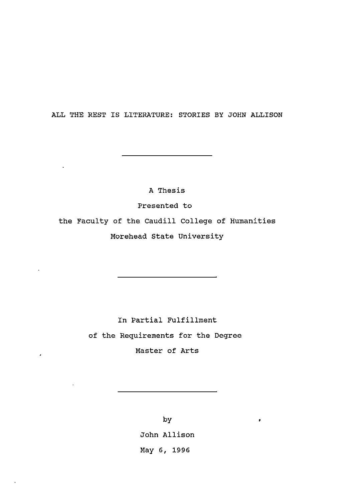ALL THE REST IS LITERATURE: STORIES BY JOHN ALLISON

A Thesis

Presented to the Faculty of the Caudill College of Humanities Morehead State University

> In Partial Fulfillment of the Requirements for the Degree Master of Arts

 $\epsilon$ 

by John Allison May 6, 1996

 $\pmb{\rho}$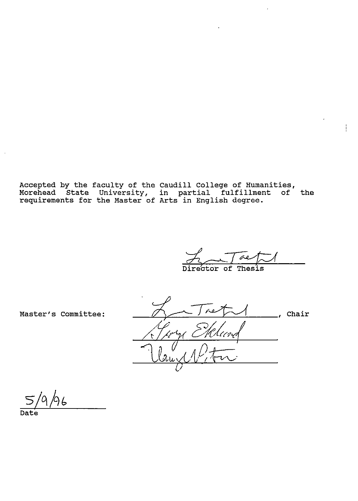Accepted by the faculty of the Morehead State University, requirements for the Master of Caudill College of Humanities, in partial fulfillment of Arts in English degree. the

 $\phi$  $\overline{\text{of}$  Thesis

ţ.

Master's committee:

 $\overline{\phantom{a}}$ , Chair Hlund

 $66$ 

Date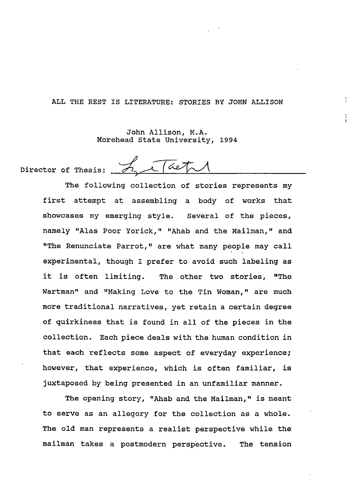ALL THE REST IS LITERATURE: STORIES BY JOHN ALLISON

John Allison, M.A. Morehead state University, 1994

aeta Director of Thesis:

> The following collection of stories represents my first attempt at assembling a body of works that showcases my emerging style. several of the pieces, namely "Alas Poor Yorick," "Ahab and the Mailman," and "The Renunciate Parrot," are what many people may call experimental, though I prefer to avoid such labeling as it is often limiting. The other two stories, "The Wartman" and "Making Love to the Tin Woman," are much more traditional narratives, yet retain a certain degree of quirkiness that is found in all of the pieces in the collection. Each piece deals with the human condition in that each reflects some aspect of everyday experience; however, that experience, which is often familiar, is juxtaposed by being presented in an unfamiliar manner.

> The opening story, "Ahab and the Mailman," is meant to serve as an allegory for the collection as a whole. The old man represents a realist perspective while the mailman takes a postmodern perspective. The tension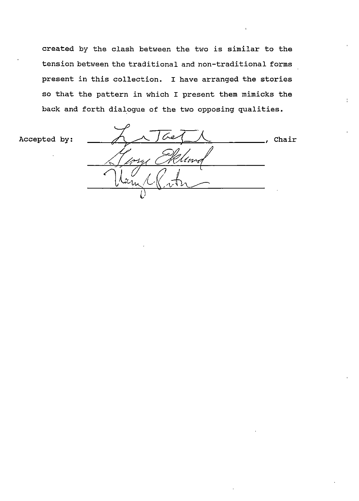created by the clash between the two is similar to the tension between the traditional and non-traditional forms present in this collection. I have arranged the stories so that the pattern in which I present them mimicks the back and forth dialogue of the two opposing qualities.

Accepted by:

Chair 1m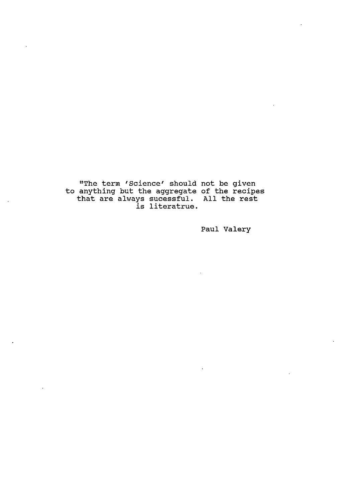"The term 'Science' should to anything but the aggregate that are always sucessful. re edecessidat:<br>is literatrue. not be given of the recipes All the rest

Paul Valery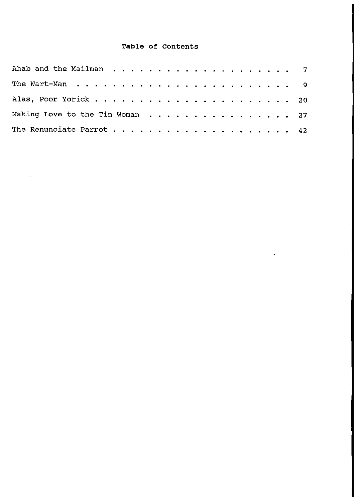### **Table of Contents**

| Making Love to the Tin Woman 27 |  |  |  |  |  |  |  |  |  |
|---------------------------------|--|--|--|--|--|--|--|--|--|
|                                 |  |  |  |  |  |  |  |  |  |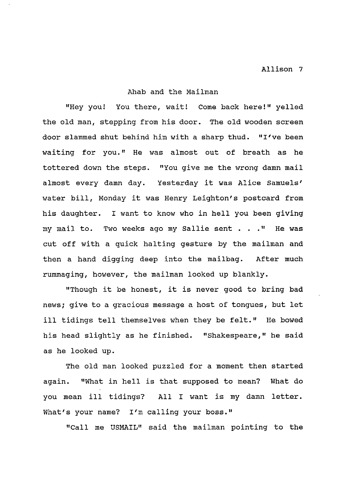#### Ahab and the Mailman

"Hey you! You there, wait! Come back here!" yelled the old man, stepping from his door. The old wooden screen door slammed shut behind him with a sharp thud. "I've been waiting for you." He was almost out of breath as he tottered down the steps. "You give me the wrong damn mail almost every damn day. Yesterday it was Alice Samuels' water bill, Monday it was Henry Leighton's postcard from his daughter. I want to know who in hell you been giving my mail to. Two weeks ago my Sallie sent . . . " He was cut off with a quick halting gesture by the mailman and then a hand digging deep into the mailbag. After much rummaging, however, the mailman looked up blankly.

"Though it be honest, it is never good to bring bad news; give to a gracious message a host of tongues, but let ill tidings tell themselves when they be felt." He bowed his head slightly as he finished. "Shakespeare," he said as he looked up.

The old man looked puzzled for a moment then started again. "What in hell is that supposed to mean? What do you mean ill tidings? All I want is my damn letter. What's your name? I'm calling your boss."

"Call me USMAIL" said the mailman pointing to the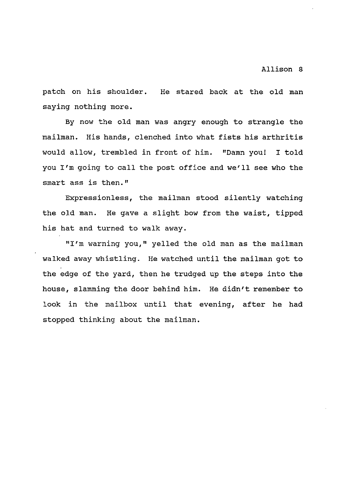patch on his shoulder. He stared back at the old man saying nothing more.

By now the old man was angry enough to strangle the mailman. His hands, clenched into what fists his arthritis would allow, trembled in front of him. "Damn you! I told you I'm going to call the post office and we'll see who the smart ass is then."

Expressionless, the mailman stood silently watching the old man. He gave a slight bow from the waist, tipped his hat and turned to walk away.

"I'm warning you," yelled the old man as the mailman walked away whistling. He watched until the mailman got to the edge of the yard, then he trudged up the steps into the house, slamming the door behind him. He didn't remember to look in the mailbox until that evening, after he had stopped thinking about the mailman.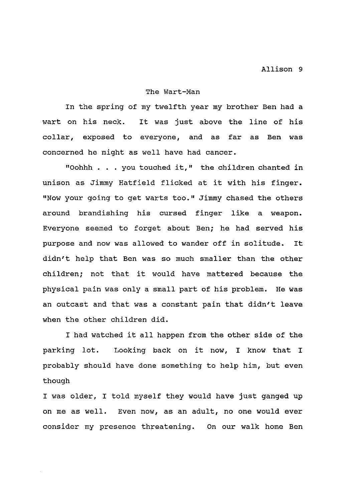#### The Wart-Man

In the spring of my twelfth year my brother Ben had a wart on his neck. It was just above the line of his collar, exposed to everyone, and as far as Ben was concerned he might as well have had cancer.

"Oohhh ... you touched it," the children chanted in unison as Jimmy Hatfield flicked at it with his finger. "Now your going to get warts too." Jimmy chased the others around brandishing his cursed finger like a weapon. Everyone seemed to forget about Ben; he had served his purpose and now was allowed to wander off in solitude. It didn't help that Ben was so much smaller than the other children; not that it would have mattered because the physical pain was only a small part of his problem. He was an outcast and that was a constant pain that didn't leave when the other children did.

I had watched it all happen from the other side of the parking lot. Looking back on it now, I know that I probably should have done something to help him, but even though

I was older, I told myself they would have just ganged up on me as well. Even now, as an adult, no one would ever consider my presence threatening. On our walk home Ben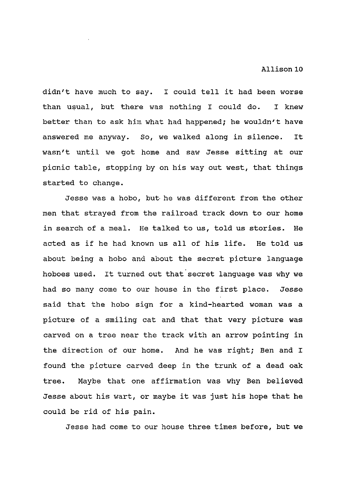didn't have much to say. I could tell it had been worse than usual, but there was nothing I could do. I knew better than to ask him what had happened; he wouldn't have answered me anyway. So, we walked along in silence. It wasn't until we got home and saw Jesse sitting at our picnic table, stopping by on his way out west, that things started to change.

Jesse was a hobo, but he was different from the other men that strayed from the railroad track down to our home in search of a meal. He talked to us, told us stories. He acted as if he had known us all of his life. He told us about being a hobo and about the secret picture language hoboes used. It turned out that secret language was why we had so many come to our house in the first place. Jesse said that the hobo sign for a kind-hearted woman was a picture of a smiling cat and that that very picture was carved on a tree near the track with an arrow pointing in the direction of our home. And he was right; Ben and I found the picture carved deep in the trunk of a dead oak tree. Maybe that one affirmation was why Ben believed Jesse about his wart, or maybe it was just his hope that he could be rid of his pain.

Jesse had come to our house three times before, but we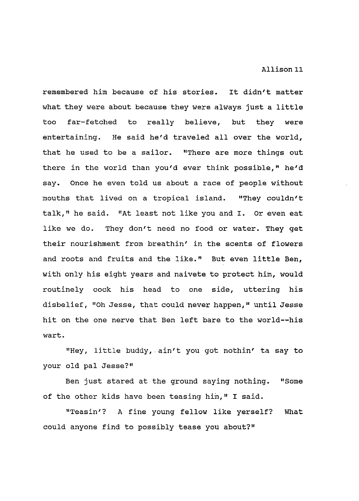remembered him because of his stories. It didn't matter what they were about because they were always just a little too far-fetched to really believe, but they were entertaining. He said he'd traveled all over the world, that he used to be a sailor. "There are more things out there in the world than you'd ever think possible," he'd say. Once he even told us about a race of people without mouths that lived on a tropical island. "They couldn't talk," he said. "At least not like you and I. Or even eat like we do. They don't need no food or water. They get their nourishment from breathin' in the scents of flowers and roots and fruits and the like." But even little Ben, with only his eight years and naivete to protect him, would routinely cock his head to one side, uttering his disbelief, "Oh Jesse, that could never happen," until Jesse hit on the one nerve that Ben left bare to the world--his wart.

"Hey, little buddy, . ain't you got nothin' ta say to your old pal Jesse?"

Ben just stared at the ground saying nothing. "Some of the other kids have been teasing him," I said.

"Teas in'? A fine young fellow like yerself? What could anyone find to possibly tease you about?"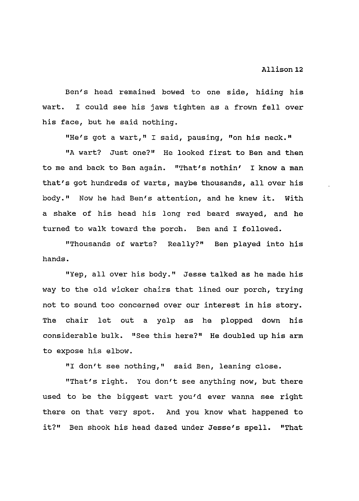Ben's head remained bowed to one side, hiding his wart. I could see his jaws tighten as a frown fell over his face, but he said nothing.

"He's got a wart," I said, pausing, "on his neck."

"A wart? Just one?" He looked first to Ben and then to me and back to Ben again. "That's nothin' I know a man that's got hundreds of warts, maybe thousands, all over his body." Now he had Ben's attention, and he knew it. With a shake of his head his long red beard swayed, and he turned to walk toward the porch. Ben and I followed.

"Thousands of warts? Really?" Ben played into his hands.

"Yep, all over his body." Jesse talked as he made his way to the old wicker chairs that lined our porch, trying not to sound too concerned over our interest in his story. The chair let out a yelp as he plopped down his considerable bulk. "See this here?" He doubled up his arm to expose his elbow.

"I don't see nothing," said Ben, leaning close.

"That's right. You don't see anything now, but there used to be the biggest wart you'd ever wanna see right there on that very spot. And you know what happened to it?" Ben shook his head dazed under Jesse's spell. "That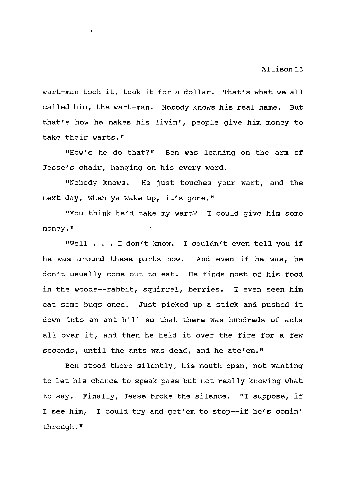wart-man took it, took it for a dollar. That's what we all called him, the wart-man. Nobody knows his real name. But that's how he makes his livin', people give him money to take their warts."

"How's he do that?" Ben was leaning on the arm of Jesse's chair, hanging on his every word.

"Nobody knows. He just touches your wart, and the next day, when ya wake up, it's gone."

"You think he'd take my wart? I could give him some money. 11

"Well . I don't know. I couldn't even tell you if he was around these parts now. And even if he was, he don't usually come out to eat. He finds most of his food in the woods--rabbit, squirrel, berries. I even seen him eat some bugs once. Just picked up a stick and pushed it down into an ant hill so that there was hundreds of ants all over it, and then he held it over the fire for a few seconds, until the ants was dead, and he ate'em."

Ben stood there silently, his mouth open, not wanting to let his chance to speak pass but not really knowing what to say. Finally, Jesse broke the silence. "I suppose, if I see him, I could try and get'em to stop--if he's comin' through."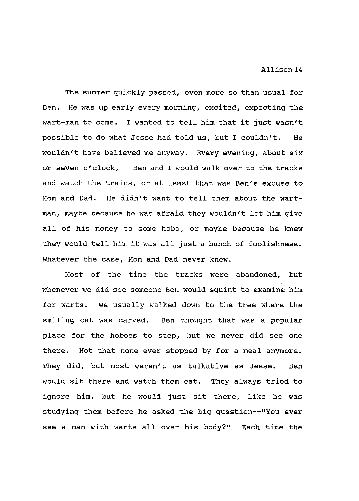The summer quickly passed, even more so than usual for Ben. He was up early every morning, excited, expecting the wart-man to come. I wanted to tell him that it just wasn't possible to do what Jesse had told us, but I couldn't. He wouldn't have believed me anyway. Every evening, about six or seven o'clock, Ben and I would walk over to the tracks and watch the trains, or at least that was Ben's excuse to Mom and Dad. He didn't want to tell them about the wartman, maybe because he was afraid they wouldn't let him give all of his money to some hobo, or maybe because he knew they would tell him it was all just a bunch of foolishness. Whatever the case, Mom and Dad never knew.

Most of the time the tracks were abandoned, but whenever we did see someone Ben would squint to examine him for warts. We usually walked down to the tree where the smiling cat was carved. Ben thought that was a popular place for the hoboes to stop, but we never did see one there. Not that none ever stopped by for a meal anymore. They did, but most weren't as talkative as Jesse. Ben would sit there and watch them eat. They always tried to ignore him, but he would just sit there, like he was studying them before he asked the big question--"You ever see a man with warts all over his body?" Each time the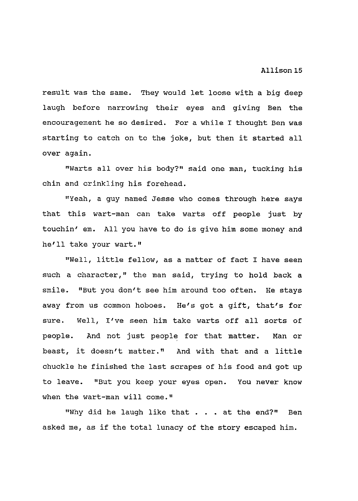result was the same. They would let loose with a big deep laugh before narrowing their eyes and giving Ben the encouragement he so desired. For a while I thought Ben was starting to catch on to the joke, but then it started all over again.

"Warts all over his body?" said one man, tucking his chin and crinkling his forehead.

"Yeah, a guy named Jesse who comes through here says that this wart-man can take warts off people just by touchin' em. All you have to do is give him some money and he'll take your wart."

"Well, little fellow, as a matter of fact I have seen such a character," the man said, trying to hold back a smile. "But you don't see him around too often. He stays away from us common hoboes. He's got a gift, that's for sure. Well, I've seen him take warts off all sorts of people. And not just people for that matter. Man or beast, it doesn't matter." And with that and a little chuckle he finished the last scrapes of his food and got up to leave. "But you keep your eyes open. You never know when the wart-man will come."

"Why did he laugh like that . . at the end?" Ben asked me, as if the total lunacy of the story escaped him.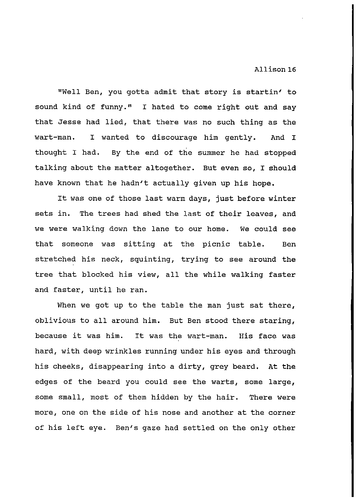"Well Ben, you gotta admit that story is startin' to sound kind of funny." I hated to come right out and say that Jesse had lied, that there was no such thing as the wart-man. I wanted to discourage him gently. And I thought I had. By the end of the summer he had stopped talking about the matter altogether. But even so, I should have known that he hadn't actually given up his hope.

It was one of those last warm days, just before winter sets in. The trees had shed the last of their leaves, and we were walking down the lane to our home. We could see that someone was sitting at the picnic table. Ben stretched his neck, squinting, trying to see around the tree that blocked his view, all the while walking faster and faster, until he ran.

When we got up to the table the man just sat there, oblivious to all around him. But Ben stood there staring, because it was him. It was the wart-man. His face was hard, with deep wrinkles running under his eyes and through his cheeks, disappearing into a dirty, grey beard. At the edges of the beard you could see the warts, some large, some small, most of them hidden by the hair. There were more, one on the side of his nose and another at the corner of his left eye. Ben's gaze had settled on the only other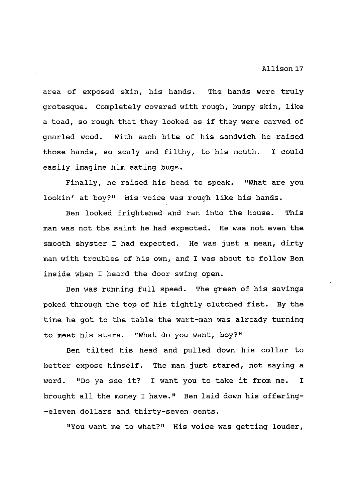area of exposed skin, his hands. The hands were truly grotesque. Completely covered with rough, bumpy skin, like a toad, so rough that they looked as if they were carved of gnarled wood. With each bite of his sandwich he raised those hands, so scaly and filthy, to his mouth. I could easily imagine him eating bugs.

Finally, he raised his head to speak. "What are you lookin' at boy?" His voice was rough like his hands.

Ben looked frightened and ran into the house. This man was not the saint he had expected. He was not even the smooth shyster I had expected. He was just a mean, dirty man with troubles of his own, and I was about to follow Ben inside when I heard the door swing open.

Ben was running full speed. The green of his savings poked through the top of his tightly clutched fist. By the time he got to the table the wart-man was already turning to meet his stare. "What do you want, boy?"

Ben tilted his head and pulled down his collar to better expose himself. The man just stared, not saying a word. "Do ya see it? I want you to take it from me. I brought all the money I have." Ben laid down his offering- -eleven dollars and thirty-seven cents.

"You want me to what?" His voice was getting louder,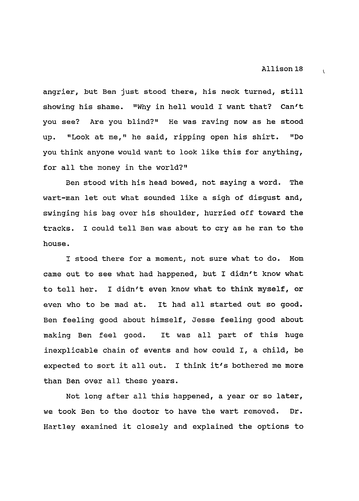$\overline{C}$ 

angrier, but Ben just stood there, his neck turned, still showing his shame. "Why in hell would I want that? Can't you see? Are you blind?" He was raving now as he stood up. "Look at me," he said, ripping open his shirt. "Do you think anyone would want to look like this for anything, for all the money in the world?"

Ben stood with his head bowed, not saying a word. The wart-man let out what sounded like a sigh of disgust and, swinging his bag over his shoulder, hurried off toward the tracks. I could tell Ben was about to cry as he ran to the house.

I stood there for a moment, not sure what to do. Mom came out to see what had happened, but I didn't know what to tell her. I didn't even know what to think myself, or even who to be mad at. It had all started out so good. Ben feeling good about himself, Jesse feeling good about making Ben feel good. It was all part of this huge inexplicable chain of events and how could I, a child, be expected to sort it all out. I think it's bothered me more than Ben over all these years.

Not long after all this happened, a year or so later, we took Ben to the doctor to have the wart removed. Dr. Hartley examined it closely and explained the options to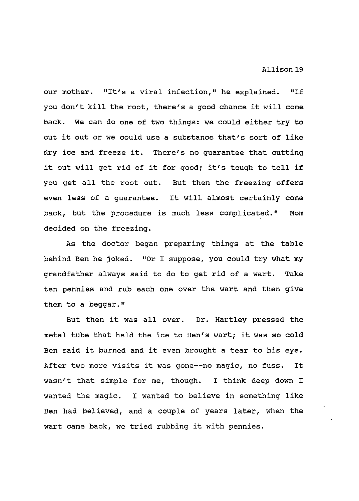our mother. "It's a viral infection," he explained. "If you don't kill the root, there's a good chance it will come back. We can do one of two things: we could either try to cut it out or we could use a substance that's sort of like dry ice and freeze it. There's no guarantee that cutting it out will get rid of it for good; it's tough to tell if you get all the root out. But then the freezing offers even less of a guarantee. It will almost certainly come back, but the procedure is much less complicated." Mom decided on the freezing.

As the doctor began preparing things at the table behind Ben he joked. "Or I suppose, you could try what my grandfather always said to do to get rid of a wart. Take ten pennies and rub each one over the wart and then give them to a beggar."

But then it was all over. Dr. Hartley pressed the metal tube that held the ice to Ben's wart; it was so cold Ben said it burned and it even brought a tear to his eye. After two more visits it was gone--no magic, no fuss. It wasn't that simple for me, though. I think deep down I wanted the magic. I wanted to believe in something like Ben had believed, and a couple of years later, when the wart came back, we tried rubbing it with pennies.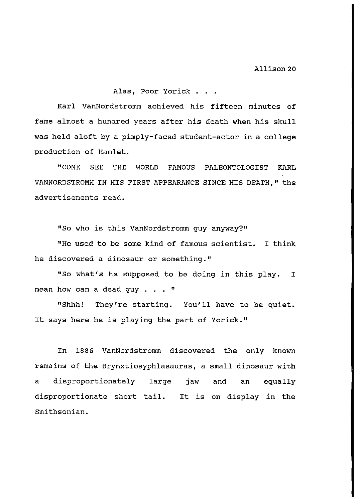# Alas, Poor Yorick . . .

Karl VanNordstromm achieved his fifteen minutes of fame almost a hundred years after his death when his skull was held aloft by a pimply-faced student-actor in a college production of Hamlet.

"COME SEE THE WORLD FAMOUS PALEONTOLOGIST KARL VANNORDSTROMM IN HIS FIRST APPEARANCE SINCE HIS DEATH, " the advertisements read.

"So who is this VanNordstromm guy anyway?"

"He used to be some kind of famous scientist. I think he discovered a dinosaur or something."

"So what's he supposed to be doing in this play. I mean how can a dead guy  $\ldots$  "

"Shhh! They're starting. You'll have to be quiet. It says here he is playing the part of Yorick."

In 1886 VanNordstromm discovered the only known remains of the Brynxtiosyphlasauras, a small dinosaur with a disproportionately large jaw and an equally disproportionate short tail. It is on display in the Smithsonian.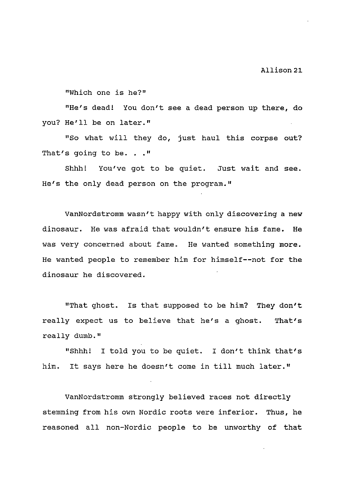Allison 21.

"Which one is he?"

"He's dead! You don't see a dead person up there, do you? He'll be on later."

"So what will they do, just haul this corpse out? That's going to be.  $\cdot \cdot$  "

Shhh! You've got to be quiet. Just wait and see. He's the only dead person on the program."

VanNordstromm wasn't happy with only discovering a new dinosaur. He was afraid that wouldn't ensure his fame. He was very concerned about fame. He wanted something more. He wanted people to remember him for himself--not for the dinosaur he discovered.

"That ghost. Is that supposed to be him? They don't really expect us to believe that he's a ghost. That's really dumb."

"Shhh! I told you to be quiet. I don't think that's him. It says here he doesn't come in till much later."

VanNordstromm strongly believed races not directly stemming from his own Nordic roots were inferior. Thus, he reasoned all non-Nordic people to be unworthy of that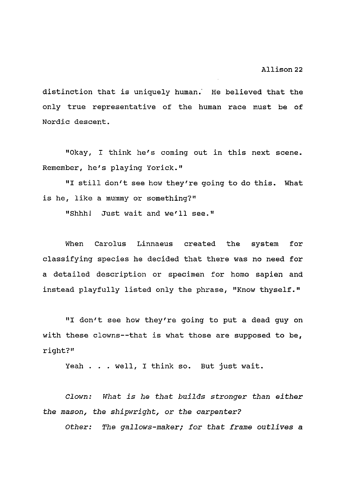distinction that is uniquely human.' He believed that the only true representative of the human race must be of Nordic descent.

"Okay, I think he's coming out in this next scene. Remember, he's playing Yorick."

"I still don't see how they're going to do this. What is he, like a mummy or something?"

"Shhh! Just wait and we'll see."

When Carolus Linnaeus created the system for classifying species he decided that there was no need for a detailed description or specimen for homo sapien and instead playfully listed only the phrase, "Know thyself."

"I don't see how they're going to put a dead guy on with these clowns--that is what those are supposed to be, right?"

Yeah . . . well, I think so. But just wait.

*Clown: What is he that builds stronger than either the mason, the shipwright,* or *the carpenter?* 

*Other: The gallows-maker; for that frame outlives* a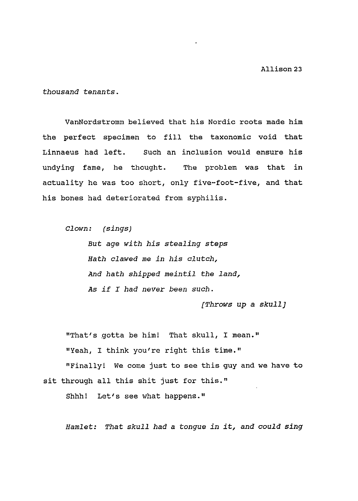*thousand tenants.* 

VanNordstromm believed that his Nordic roots made him the perfect specimen to fill the taxonomic void that Linnaeus had left. Such an inclusion would ensure his undying fame, he thought. The problem was that in actuality he was too short, only five-foot-five, and that his bones had deteriorated from syphilis.

*Clown: (sings)* 

*But age with his stealing steps Hath clawed me in his clutch, And hath shipped meintil the land, As if I had never been such.* 

*[Throws up a skull]* 

"That's gotta be him! That skull, I mean." "Yeah, I think you're right this time." "Finally! We come just to see this guy and we have to sit through all this shit just for this."

Shhh! Let's see what happens."

*Hamlet: That skull had a tongue in it, and could sing*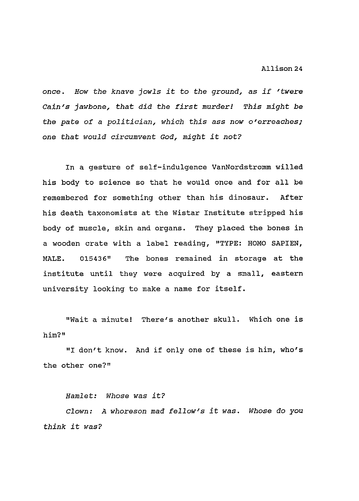once. *How the knave jowls it to the ground, as if 'twere Cain's jawbone, that did the first murder! This might be the pate of* a *politician, which this ass now o'erreaches; one that would circumvent God, might it not?* 

In a gesture of self-indulgence VanNordstromm willed his body to science so that he would once and for all be remembered for something other than his dinosaur. After his death taxonomists at the Wistar Institute stripped his body of muscle, skin and organs. They placed the bones in a wooden crate with a label reading, "TYPE: HOMO SAPIEN, MALE. 015436" The bones remained in storage at the institute until they were acquired by a small, eastern university looking to make a name for itself.

"Wait a minute! There's another skull. Which one is him?"

"I don't know. And if only one of these is him, who's the other one?"

*Hamlet: Whose was it?* 

*Clown: A whoreson mad fellow's it was. Whose do you think it was?*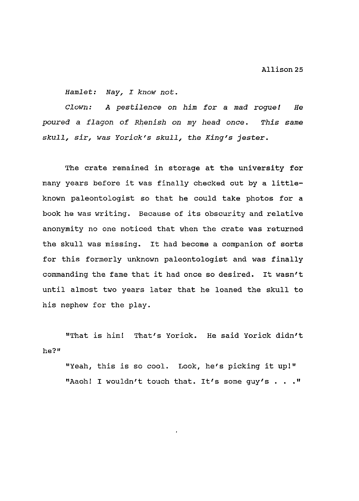*Hamlet: Nay, I know not.* 

*Clown: A pestilence on him* for a *mad rogue! He poured* a *flagon of Rhenish on my head once. This same skull, sir, was Yorick's skull, the King's* jester.

The crate remained in storage at the university for many years before it was finally checked out by a littleknown paleontologist so that he could take photos for a book he was writing. Because of its obscurity and relative anonymity no one noticed that when the crate was returned the skull was missing. It had become a companion of sorts for this formerly unknown paleontologist and was finally commanding the fame that it had once so desired. It wasn't until almost two years later that he loaned the skull to his nephew for the play.

he?" "That is him! That's Yorick. He said Yorick didn't

"Yeah, this is so cool. Look, he's picking it up!" "Aaoh! I wouldn't touch that. It's some guy's . . . "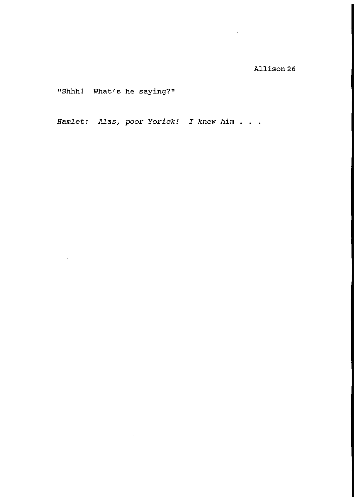"Shhh! What's he saying?"

*Hamlet: Alas, poor Yorick! I knew him* ...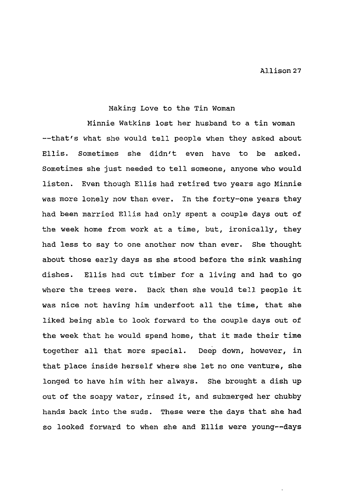# Making Love to the Tin Woman

Minnie Watkins lost her husband to a tin woman --that's what she would tell people when they asked about Ellis. Sometimes she didn't even have to be asked. Sometimes she just needed to tell someone, anyone who would listen. Even though Ellis had retired two years ago Minnie was more lonely now than ever. In the forty-one years they had been married Ellis had only spent a couple days out of the week home from work at a time, but, ironically, they had less to say to one another now than ever. She thought about those early days as she stood before the sink washing dishes. Ellis had cut timber for a living and had to go where the trees were. Back then she would tell people it was nice not having him underfoot all the time, that she liked being able to look forward to the couple days out of the week that he would spend home, that it made their time together all that more special. Deep down, however, in that place inside herself where she let no one venture, she longed to have him with her always. She brought a dish up out of the soapy water, rinsed it, and submerged her chubby hands back into the suds. These were the days that she had so looked forward to when she and Ellis were young--days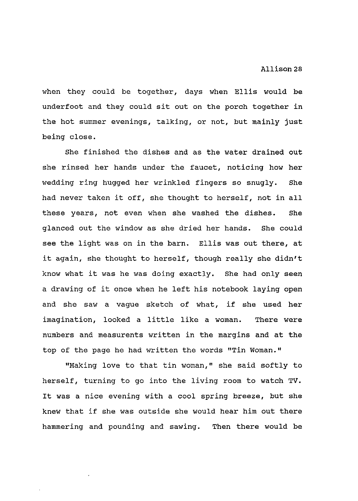when they could be together, days when Ellis would be underfoot and they could sit out on the porch together in the hot summer evenings, talking, or not, but mainly just being close.

She finished the dishes and as the water drained out she rinsed her hands under the faucet, noticing how her wedding ring hugged her wrinkled fingers so snugly. She had never taken it off, she thought to herself, not in all these years, not even when she washed the dishes. She glanced out the window as she dried her hands. She could see the light was on in the barn. Ellis was out there, at it again, she thought to herself, though really she didn't know what it was he was doing exactly. She had only seen a drawing of it once when he left his notebook laying open and she saw a vague sketch of what, if she used her imagination, looked a little like a woman. There were numbers and measurents written in the margins and at the top of the page he had written the words "Tin Woman."

"Making love to that tin woman," she said softly to herself, turning to go into the living room to watch TV. It was a nice evening with a cool spring breeze, but she knew that if she was outside she would hear him out there hammering and pounding and sawing. Then there would be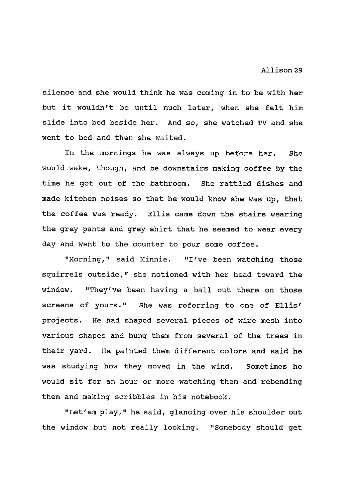silence and she would think he was coming in to be with her but it wouldn't be until much later, when she felt him slide into bed beside her. And so, she watched TV and she went to bed and then she waited.

In the mornings he was always up before her. She would wake, though, and be downstairs making coffee by the time he got out of the bathroom. She rattled dishes and made kitchen noises so that he would know she was up, that the coffee was ready. Ellis came down the stairs wearing the grey pants and grey shirt that he seemed to wear every day and went to the counter to pour some coffee.

"Morning," said Minnie. "I've been watching those squirrels outside," she motioned with her head toward the window. "They've been having a ball out there on those screens of yours." She was referring to one of Ellis' projects. He had shaped several pieces of wire mesh into various shapes and hung them from several of the trees in their yard. He painted them different colors and said he was studying how they moved in the wind. sometimes he would sit for an hour or more watching them and rebending them and making scribbles in his notebook.

"Let' em play," he said, glancing over his shoulder out the window but not really looking. "Somebody should get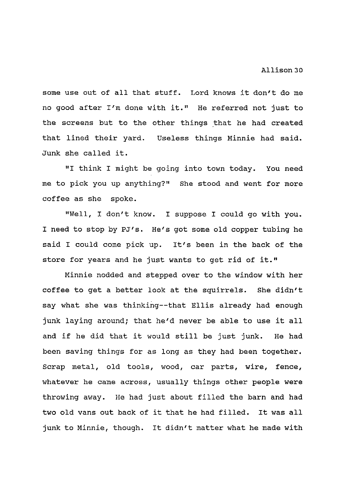some use out of all that stuff. Lord knows it don't do me no good after I'm done with it." He referred not just to the screens but to the other things that he had created that lined their yard. Useless things Minnie had said. Junk she called it.

"I think I might be going into town today. You need me to pick you up anything?" She stood and went for more coffee as she spoke.

"Well, I don't know. I suppose I could go with you. I need to stop by PJ's. He's got some old copper tubing he said I could come pick up. It's been in the back of the store for years and he just wants to get rid of it."

Minnie nodded and stepped over to the window with her coffee to get a better look at the squirrels. She didn't say what she was thinking--that Ellis already had enough junk laying around; that he'd never be able to use it all and if he did that it would still be just junk. He had been saving things for as long as they had been together. Scrap metal, old tools, wood, car parts, wire, fence, whatever he came across, usually things other people were throwing away. He had just about filled the barn and had two old vans out back of it that he had filled. It was all junk to Minnie, though. It didn't matter what he made with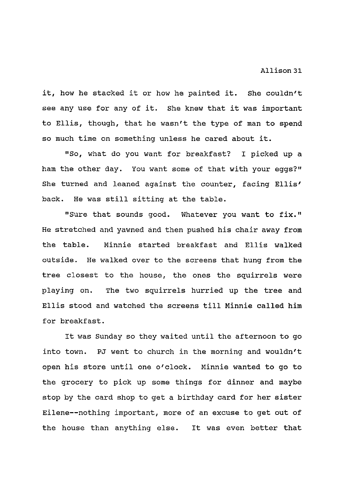it, how he stacked it or how he painted it. She couldn't see any use for any of it. She knew that it was important to Ellis, though, that he wasn't the type of man to spend so much time on something unless he cared about it.

"So, what do you want for breakfast? I picked up a ham the other day. You want some of that with your eggs?" She turned and leaned against the counter, facing Ellis' back. He was still sitting at the table.

"Sure that sounds good. Whatever you want to fix." He stretched and yawned and then pushed his chair away from the table. Minnie started breakfast and Ellis walked outside. He walked over to the screens that hung from the tree closest to the house, the ones the squirrels were playing on. The two squirrels hurried up the tree and Ellis stood and watched the screens till Minnie called him for breakfast.

It was Sunday so they waited until the afternoon to go into town. PJ went to church in the morning and wouldn't open his store until one o'clock. Minnie wanted to go to the grocery to pick up some things for dinner and maybe stop by the card shop to get a birthday card for her sister Eilene--nothing important, more of an excuse to get out of the house than anything else. It was even better that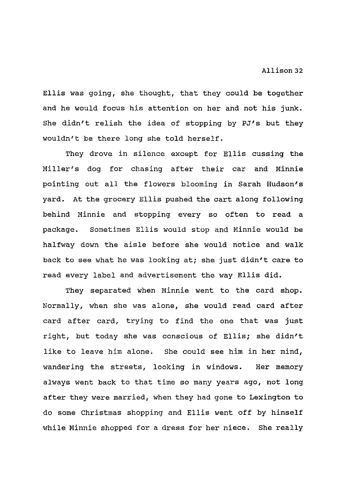Ellis was going, she thought, that they could be together and he would focus his attention on her and not his junk. She didn't relish the idea of stopping by PJ's but they wouldn't be there long she told herself.

They drove in silence except for Ellis cussing the Miller's dog for chasing after their car and Minnie pointing out all the flowers blooming in Sarah Hudson's yard. At the grocery Ellis pushed the cart along following behind Minnie and stopping every so often to read a package. Sometimes Ellis would stop and Minnie would be halfway down the aisle before she would notice and walk back to see what he was looking at; she just didn't care to read every label and advertisement the way Ellis did.

They separated when Minnie went to the card shop. Normally, when she was alone, she would read card after card after card, trying to find the one that was just right, but today she was conscious of Ellis; she didn't like to leave him alone. She could see him in her mind, wandering the streets, looking in windows. Her memory always went back to that time so many years ago, not long after they were married, when they had gone to Lexington to do some Christmas shopping and Ellis went off by himself while Minnie shopped for a dress for her niece. She really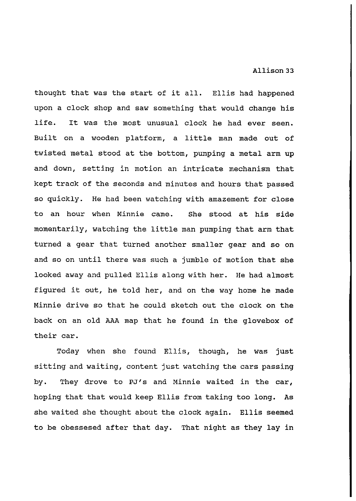thought that was the start of it all. Ellis had happened upon a clock shop and saw something that would change his life. It was the most unusual clock he had ever seen. Built on a wooden platform, a little man made out of twisted metal stood at the bottom, pumping a metal arm up and down, setting in motion an intricate mechanism that kept track of the seconds and minutes and hours that passed so quickly. He had been watching with amazement for close to an hour when Minnie came. She stood at his side momentarily, watching the little man pumping that arm that turned a gear that turned another smaller gear and so on and so on until there was such a jumble of motion that she looked away and pulled Ellis along with her. He had almost figured it out, he told her, and on the way home he made Minnie drive so that he could sketch out the clock on the back on an old AAA map that he found in the glovebox of their car.

Today when she found Ellis, though, he was just sitting and waiting, content just watching the cars passing by. They drove to PJ's and Minnie waited in the car, hoping that that would keep Ellis from taking too long. As she waited she thought about the clock again. Ellis seemed to be obessesed after that day. That night as they lay in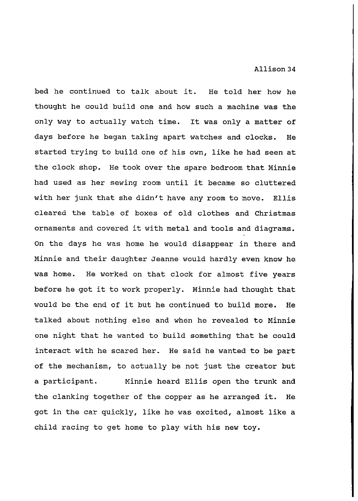bed he continued to talk about it. He told her how he thought he could build one and how such a machine was the only way to actually watch time. It was only a matter of days before he began taking apart watches and clocks. He started trying to build one of his own, like he had seen at the clock shop. He took over the spare bedroom that Minnie had used as her sewing room until it became so cluttered with her junk that she didn't have any room to move. Ellis cleared the table of boxes of old clothes and Christmas ornaments and covered it with metal and tools and diagrams. On the days he was home he would disappear in there and Minnie and their daughter Jeanne would hardly even know he was home. He worked on that clock for almost five years before he got it to work properly. Minnie had thought that would be the end of it but he continued to build more. He talked about nothing else and when he revealed to Minnie one night that he wanted to build something that he could interact with he scared her. He said he wanted to be part of the mechanism, to actually be not just the creator but a participant. Minnie heard Ellis open the trunk and the clanking together of the copper as he arranged it. He got in the car quickly, like he was excited, almost like a child racing to get home to play with his new toy.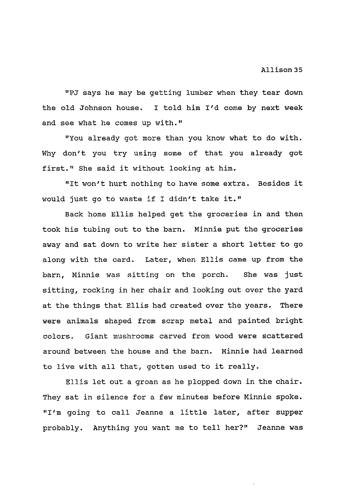"PJ says he may be getting lumber when they tear down the old Johnson house. I told him I'd come by next week and see what he comes up with."

"You already got more than you know what to do with. Why don't you try using some of that you already got first." She said it without looking at him.

"It won't hurt nothing to have some extra. Besides it would just go to waste if I didn't take it."

Back home Ellis helped get the groceries in and then took his tubing out to the barn. Minnie put the groceries away and sat down to write her sister a short letter to go along with the card. Later, when Ellis came up from the barn, Minnie was sitting on the porch. She was just sitting, rocking in her chair and looking out over the yard at the things that Ellis had created over the years. There were animals shaped from scrap metal and painted bright colors. Giant mushrooms carved from wood were scattered around between the house and the barn. Minnie had learned to live with all that, gotten used to it really.

Ellis let out a groan as he plopped down in the chair. They sat in silence for a few minutes before Minnie spoke. "I'm going to call Jeanne a little later, after supper probably. Anything you want me to tell her?" Jeanne was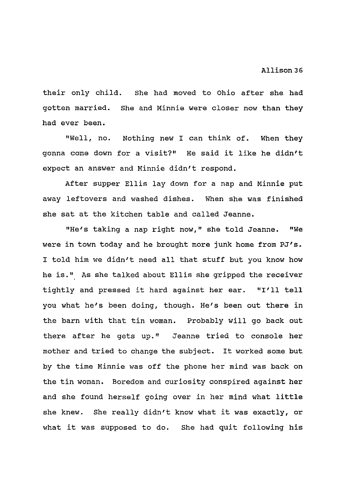their only child. She had moved to Ohio after she had gotten married. She and Minnie were closer now than they had ever been.

"Well, no. Nothing new I can think of. When they gonna come down for a visit?" He said it like he didn't expect an answer and Minnie didn't respond.

After supper Ellis lay down for a nap and Minnie put away leftovers and washed dishes. When she was finished she sat at the kitchen table and called Jeanne.

"He's taking a nap right now," she told Jeanne. "We were in town today and he brought more junk home from PJ's. I told him we didn't need all that stuff but you know how he is." As she talked about Ellis she gripped the receiver tightly and pressed it hard against her ear. "I'll tell you what he's been doing, though. He's been out there in the barn with that tin woman. Probably will go back out there after he gets up." Jeanne tried to console her mother and tried to change the subject. It worked some but by the time Minnie was off the phone her mind was back on the tin woman. Boredom and curiosity conspired against her and she found herself going over in her mind what little she knew. She really didn't know what it was exactly, or what it was supposed to do. She had quit following his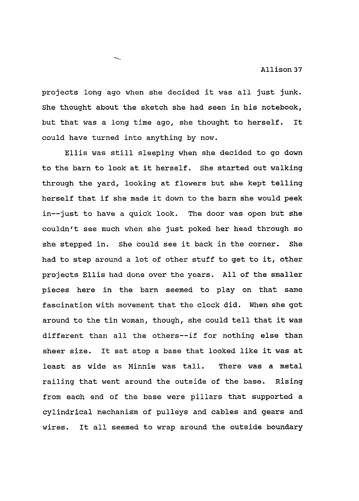projects long ago when she decided it was all just junk. She thought about the sketch she had seen in his notebook, but that was a long time ago, she thought to herself. It could have turned into anything by now.

Ellis was still sleeping when she decided to go down to the barn to look at it herself. She started out walking through the yard, looking at flowers but she kept telling herself that if she made it down to the barn she would peek in--just to have a quick look. The door was open but she couldn't see much when she just poked her head through so she stepped in. She could see it back in the corner. She had to step around a lot of other stuff to get to it, other projects Ellis had done over the years. All of the smaller pieces here in the barn seemed to play on that same fascination with movement that the clock did. When she got around to the tin woman, though, she could tell that it was different than all the others--if for nothing else than sheer size. It sat atop a base that looked like it was at least as wide as Minnie was tall. There was a metal railing that went around the outside of the base. Rising from each end of the base were pillars that supported a cylindrical mechanism of pulleys and cables and gears and wires. It all seemed to wrap around the outside boundary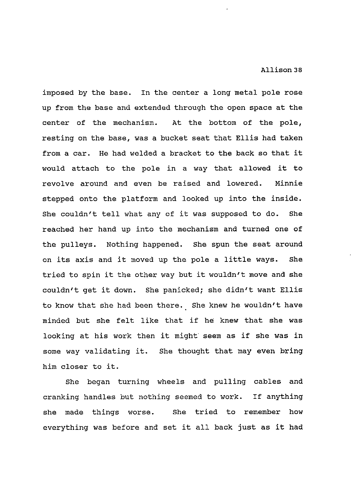imposed by the base. In the center a long metal pole rose up from the base and extended through the open space at the center of the mechanism. At the bottom of the pole, resting on the base, was a bucket seat that Ellis had taken from a car. He had welded a bracket to the back so that it would attach to the pole in a way that allowed it to revolve around and even be raised and lowered. Minnie stepped onto the platform and looked up into the inside. She couldn't tell what any of it was supposed to do. She reached her hand up into the mechanism and turned one of the pulleys. Nothing happened. She spun the seat around on its axis and it moved up the pole a little ways. She tried to spin it the other way but it wouldn't move and she couldn't get it down. She panicked; she didn't want Ellis to know that she had been there. She knew he wouldn't have minded but she felt like that if he knew that she was looking at his work then it might seem as if she was in some way validating it. She thought that may even bring him closer to it.

She began turning wheels and pulling cables and cranking handles but nothing seemed to work. If anything she made things worse. She tried to remember how everything was before and set it all back just as it had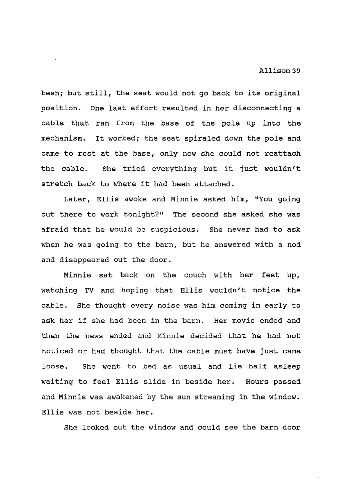been; but still, the seat would not go back to its original position. One last effort resulted in her disconnecting a cable that ran from the base of the pole up into the mechanism. It worked; the seat spiraled down the pole and came to rest at the base, only now she could not reattach the cable. She tried everything but it just wouldn't stretch back to where it had been attached.

Later, Ellis awoke and Minnie asked him, "You going out there to work tonight?" The second she asked she was afraid that he would be suspicious. She never had to ask when he was going to the barn, but he answered with a nod and disappeared out the door.

Minnie sat back on the couch with her feet up, watching TV and hoping that Ellis wouldn't notice the cable. She thought every noise was him coming in early to ask her if she had been in the barn. Her movie ended and then the news ended and Minnie decided that he had not noticed or had thought that the cable must have just came loose. She went to bed as usual and lie half asleep waiting to feel Ellis slide in beside her. Hours passed and Minnie was awakened by the sun streaming in the window. Ellis was not beside her.

She looked out the window and could see the barn door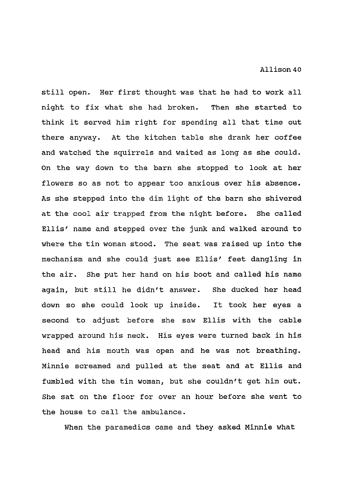still open. Her first thought was that he had to work all night to fix what she had broken. Then she started to think it served him right for spending all that time out there anyway. At the kitchen table she drank her coffee and watched the squirrels and waited as long as she could. On the way down to the barn she stopped to look at her flowers so as not to appear too anxious over his absence. As she stepped into the dim light of the barn she shivered at the cool air trapped from the night before. She called Ellis' name and stepped over the junk and walked around to where the tin woman stood. The seat was raised up into the mechanism and she could just see Ellis' feet dangling in the air. She put her hand on his boot and called his name again, but still he didn't answer. She ducked her head down so she could look up inside. It took her eyes a second to adjust before she saw Ellis with the cable wrapped around his neck. His eyes were turned back in his head and his mouth was open and he was not breathing. Minnie screamed and pulled at the seat and at Ellis and fumbled with the tin woman, but she couldn't get him out. She sat on the floor for over an hour before she went to the house to call the ambulance.

When the paramedics came and they asked Minnie what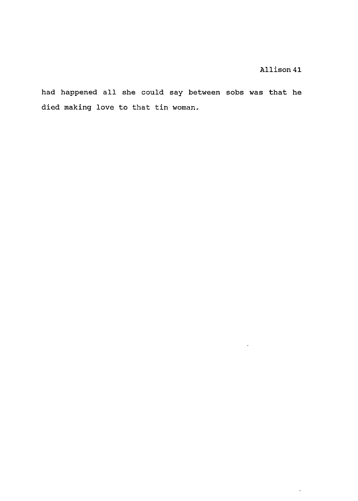$\sim 10^{11}$ 

 $\frac{1}{\sqrt{2}}$ 

had happened all she could say between sobs was that he died making love to that tin woman.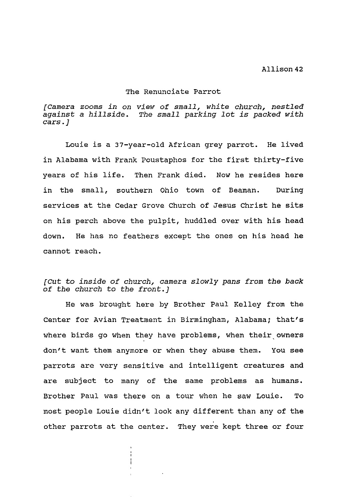#### The Renunciate Parrot

*[Camera zooms in on view of small, white church, nestled against a hillside. The small parking lot is packed with cars.]* 

Louie is a 37-year-old African grey parrot. He lived in Alabama with Frank Poustaphos for the first thirty-five years of his life. Then Frank died. Now he resides here in the small, southern Ohio town of Beaman. During services at the Cedar Grove Church of Jesus Christ he sits on his perch above the pulpit, huddled over with his head down. He has no feathers except the ones on his head he cannot reach.

# *[Cut to inside of church, camera slowly pans from the back of the church to the front.]*

He was brought here by Brother Paul Kelley from the Center for Avian Treatment in Birmingham, Alabama; that's where birds go when they have problems, when their owners don't want them anymore or when they abuse them. You see parrots are very sensitive and intelligent creatures and are subject to many of the same problems as humans. Brother Paul was there on a tour when he saw Louie. To most people Louie didn't look any different than any of the other parrots at the center. They were kept three or four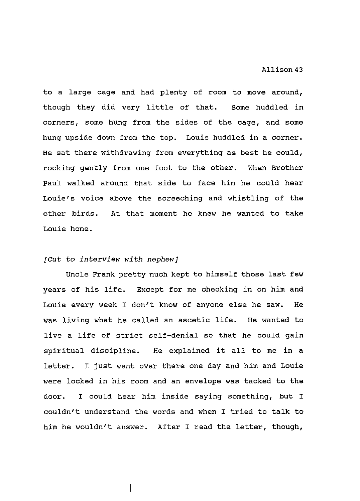to a large cage and had plenty of room to move around, though they did very little of that. some huddled in corners, some hung from the sides of the cage, and some hung upside down from the top. Louie huddled in a corner. He sat there withdrawing from everything as best he could, rocking gently from one foot to the other. When Brother Paul walked around that side to face him he could hear Louie's voice above the screeching and whistling of the other birds. At that moment he knew he wanted to take Louie home.

#### *[Cut to interview with nephew)*

Uncle Frank pretty much kept to himself those last few years of his life. Except for me checking in on him and Louie every week I don't know of anyone else he saw. He was living what he called an ascetic life. He wanted to live a life of strict self-denial so that he could gain spiritual discipline. He explained it all to me in a letter. I just went over there one day and him and Louie were locked in his room and an envelope was tacked to the door. I could hear him inside saying something, but I couldn't understand the words and when I tried to talk to him he wouldn't answer. After I read the letter, though,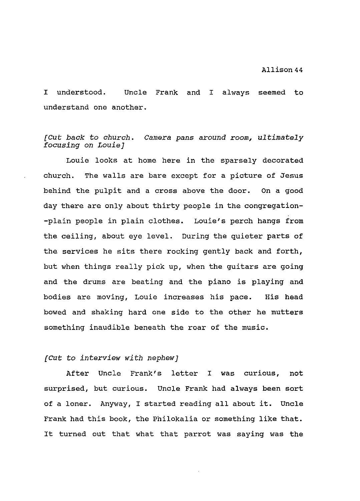I understood. Uncle Frank and I always seemed to understand one another.

# *[Cut back to church. Camera pans around room, ultimately focusing on Louie]*

Louie looks at home here in the sparsely decorated church. The walls are bare except for a picture of Jesus behind the pulpit and a cross above the door. On a good day there are only about thirty people in the congregation- -plain people in plain clothes. Louie's perch hangs from the ceiling, about eye level. During the quieter parts of the services he sits there rocking gently back and forth, but when things really pick up, when the guitars are going and the drums are beating and the piano is playing and bodies are moving, Louie increases his pace. His head bowed and shaking hard one side to the other he mutters something inaudible beneath the roar of the music.

### *[Cut to interview with nephew]*

After Uncle Frank's letter I was curious, not surprised, but curious. Uncle Frank had always been sort of a loner. Anyway, I started reading all about it. Uncle Frank had this book, the Philokalia or something like that. It turned out that what that parrot was saying was the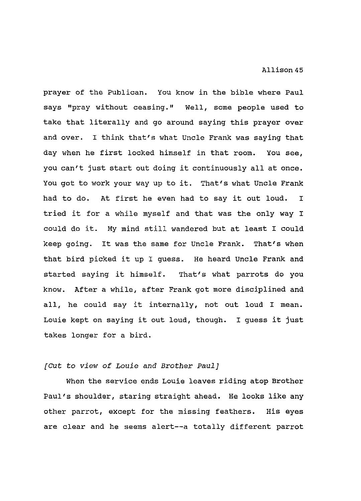prayer of the Publican. You know in the bible where Paul says "pray without ceasing." Well, some people used to take that literally and go around saying this prayer over and over. I think that's what Uncle Frank was saying that day when he first locked himself in that room. You see, you can't just start out doing it continuously all at once. You got to work your way up to it. That's what Uncle Frank had to do. At first he even had to say it out loud. I tried it for a while myself and that was the only way I could do it. My mind still wandered but at least I could keep going. It was the same for Uncle Frank. That's when that bird picked it up I guess. He heard Uncle Frank and started saying it himself. That's what parrots do you know. After a while, after Frank got more disciplined and all, he could say it internally, not out loud I mean. Louie kept on saying it out loud, though. I guess it just takes longer for a bird.

# *[Cut to view of Louie* and *Brother Paul]*

When the service ends Louie leaves riding atop Brother Paul's shoulder, staring straight ahead. He looks like any other parrot, except for the missing feathers. His eyes are clear and he seems alert--a totally different parrot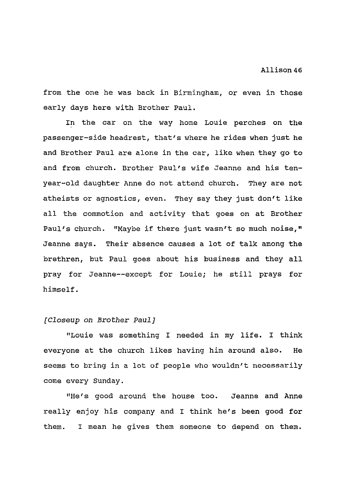from the one he was back in Birmingham, or even in those early days here with Brother Paul.

In the car on the way home Louie perches on the passenger-side headrest, that's where he rides when just he and Brother Paul are alone in the car, like when they go to and from church. Brother Paul's wife Jeanne and his tenyear-old daughter Anne do not attend church. They are not atheists or agnostics, even. They say they just don't like all the commotion and activity that goes on at Brother Paul's church. "Maybe if there just wasn't so much noise," Jeanne says. Their absence causes a lot of talk among the brethren, but Paul goes about his business and they all pray for Jeanne--except for Louie; he still prays for himself.

### *[Closeup on Brother Paul]*

"Louie was something I needed in my life. I think everyone at the church likes having him around also. He seems to bring in a lot of people who wouldn't necessarily come every Sunday.

"He's good around the house too. Jeanne and Anne really enjoy his company and I think he's been good for them. I mean he gives them someone to depend on them.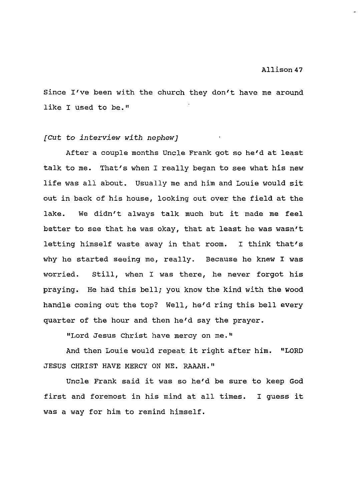Since I've been with the church they don't have me around like I used to be."

# *[Cut to interview with nephew}*

After a couple months Uncle Frank got so he'd at least talk to me. That's when I really began to see what his new life was all about. Usually me and him and Louie would sit out in back of his house, looking out over the field at the lake. We didn't always talk much but it made me feel better to see that he was okay, that at least he was wasn't letting himself waste away in that room. I think that's why he started seeing me, really. Because he knew I was worried. Still, when I was there, he never forgot his praying. He had this bell; you know the kind with the wood handle coming out the top? Well, he'd ring this bell every quarter of the hour and then he'd say the prayer.

"Lord Jesus Christ have mercy on me."

And then Louie would repeat it right after him. "LORD JESUS CHRIST HAVE MERCY ON ME. RAAAH."

Uncle Frank said it was so he'd be sure to keep God first and foremost in his mind at all times. was a way for him to remind himself. I guess it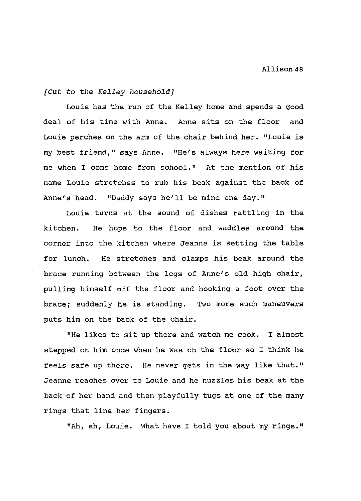### *[Cut to the Kelley household]*

Louie has the run of the Kelley home and spends a good deal of his time with Anne. Anne sits on the floor and Louie perches on the arm of the chair behind her. "Louie is my best friend," says Anne. "He's always here waiting for me when I come home from school." At the mention of his name Louie stretches to rub his beak against the back of Anne's head. "Daddy says he'll be mine one day."

Louie turns at the sound of dishes rattling in the kitchen. He hops to the floor and waddles around the corner into the kitchen where Jeanne is setting the table for lunch. He stretches and clamps his beak around the brace running between the legs of Anne's old high chair, pulling himself off the floor and hooking a foot over the brace; suddenly he is standing. Two more such maneuvers puts him on the back of the chair.

"He likes to sit up there and watch me cook. I almost stepped on him once when he was on the floor so I think he feels safe up there. He never gets in the way like that." Jeanne reaches over to Louie and he nuzzles his beak at the back of her hand and then playfully tugs at one of the many rings that line her fingers.

"Ah, ah, Louie. What have I told you about my rings."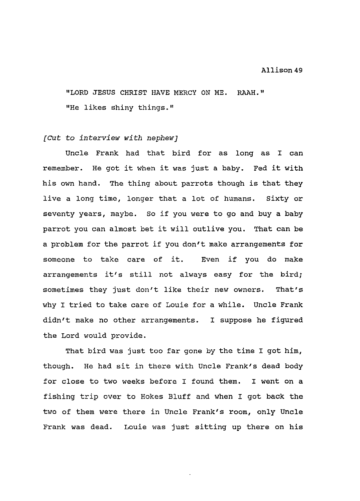"LORD JESUS CHRIST HAVE MERCY ON ME. RAAH." "He likes shiny things."

## *{Cut to interview with nephew)*

Uncle Frank had that bird for as long as I can remember. He got it when it was just a baby. Fed it with his own hand. The thing about parrots though is that they live a long time, longer that a lot of humans. Sixty or seventy years, maybe. so if you were to go and buy a baby parrot you can almost bet it will outlive you. That can be a problem for the parrot if you don't make arrangements for someone to take care of it. Even if you do make arrangements it's still not always easy for the bird; sometimes they just don't like their new owners. That's why I tried to take care of Louie for a while. Uncle Frank didn't make no other arrangements. I suppose he figured the Lord would provide.

That bird was just too far gone by the time I got him, though. He had sit *in* there with Uncle Frank's dead body for close to two weeks before I found them. I went on a fishing trip over to Hokes Bluff and when I got back the two of them were there *in* Uncle Frank's room, only Uncle Frank was dead. Louie was just sitting up there on his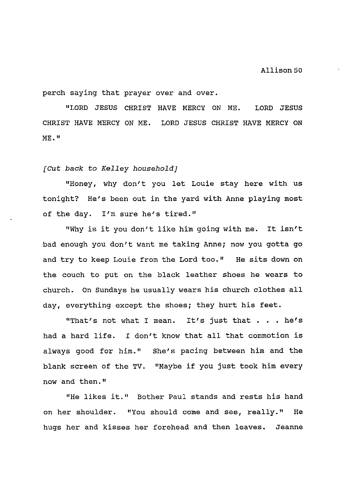perch saying that prayer over and over.

"LORD JESUS CHRIST HAVE MERCY ON ME. LORD JESUS CHRIST HAVE MERCY ON ME. LORD JESUS CHRIST HAVE MERCY ON ME. II

#### *[Cut back to Kelley household]*

"Honey, why don't you let Louie stay here with us tonight? He's been out in the yard with Anne playing most of the day. I'm sure he's tired."

"Why is it you don't like him going with me. It isn't bad enough you don't want me taking Anne; now you gotta go and try to keep Louie from the Lord too." He sits down on the couch to put on the black leather shoes he wears to church. On Sundays he usually wears his church clothes all day, everything except the shoes; they hurt his feet.

"That's not what I mean. It's just that . . . he's had a hard life. I don't know that all that commotion is always good for him." She's pacing between him and the blank screen of the TV. "Maybe if you just took him every now and then."

"He likes it." Bother Paul stands and rests his hand on her shoulder. "You should come and see, really." He hugs her and kisses her forehead and then leaves. Jeanne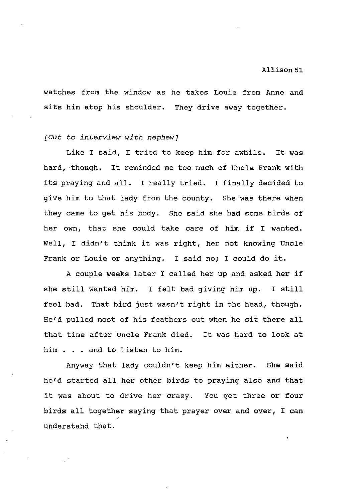watches from the window as he takes Louie from Anne and sits him atop his shoulder. They drive away together.

#### *[Cut to interview with nephew]*

Like I said, I tried to keep him for awhile. It was hard, ·though. It reminded me too much of Uncle Frank with its praying and all. I really tried. I finally decided to give him to that lady from the county. She was there when they came to get his body. She said she had some birds of her own, that she could take care of him if I wanted. Well, I didn't think it was right, her not knowing Uncle Frank or Louie or anything. I said no; I could do it.

A couple weeks later I called her up and asked her if she still wanted him. I felt bad giving him up. I still feel bad. That bird just wasn't right in the head, though. He'd pulled most of his feathers out when he sit there all that time after Uncle Frank died. It was hard to look at him . . . and to listen to him.

Anyway that lady couldn't keep him either. She said he'd started all her other birds to praying also and that it was about to drive her· crazy. You get three or four birds all together saying that prayer over and over, I can understand that.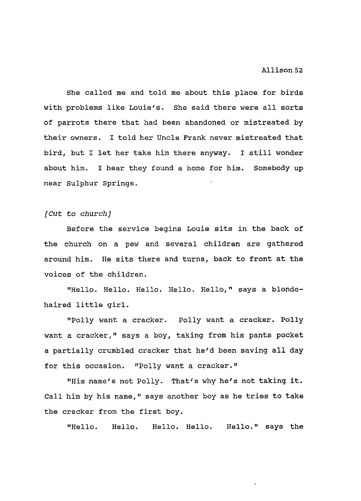She called me and told me about this place for birds with problems like Louie's. She said there were all sorts of parrots there that had been abandoned or mistreated by their owners. I told her Uncle Frank never mistreated that bird, but I let her take him there anyway. I still wonder about him. I hear they found a home for him. Somebody up near Sulphur Springs.

#### *[Cut* to *church]*

Before the service begins Louie sits in the back of the church on a pew and several children are gathered around him. He sits there and turns, back to front at the voices of the children.

"Hello. Hello. Hello. Hello. Hello," says a blondehaired little girl.

"Polly want a cracker. Polly want a cracker. Polly want a cracker," says a boy, taking from his pants pocket a partially crumbled cracker that he'd been saving all day for this occasion. "Polly want a cracker."

"His name's not Polly. That's why he's not taking it. Call him by his name," says another boy as he tries to take the cracker from the first boy.

"Hello. Hello. Hello. Hello. Hello." says the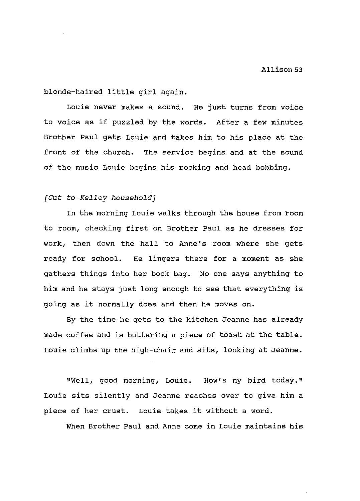blonde-haired little girl again.

Louie never makes a sound. He just turns from voice to voice as if puzzled by the words. After a few minutes Brother Paul gets Louie and takes him to his place at the front of the church. The service begins and at the sound of the music Louie begins his rocking and head bobbing.

# *[Cut to Kelley household]*

In the morning Louie walks through the house from room to room, checking first on Brother Paul as he dresses for work, then down the hall to Anne's room where she gets ready for school. He lingers there for a moment as she gathers things into her book bag. No one says anything to him and he stays just long enough to see that everything is going as it normally does and then he moves on.

By the time he gets to the kitchen Jeanne has already made coffee and is buttering a piece of toast at the table. Louie climbs up the high-chair and sits, looking at Jeanne.

"Well, good morning, Louie. How's my bird today." Louie sits silently and Jeanne reaches over to give him a piece of her crust. Louie takes it without a word.

When Brother Paul and Anne come in Louie maintains his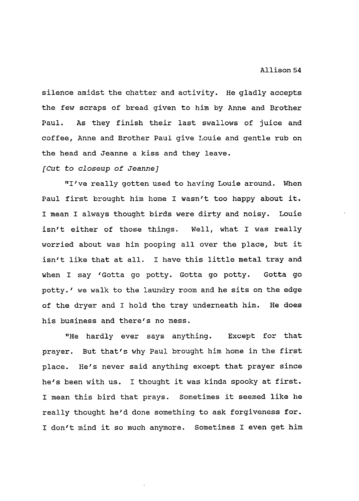silence amidst the chatter and activity. He gladly accepts the few scraps of bread given to him by Anne and Brother Paul. As they finish their last swallows of juice and coffee, Anne and Brother Paul give Louie and gentle rub on the head and Jeanne a kiss and they leave.

#### *{Cut to closeup of Jeanne]*

"I've really gotten used to having Louie around. When Paul first brought him home I wasn't too happy about it. I mean I always thought birds were dirty and noisy. Louie isn't either of those things. Well, what I was really worried about was him pooping all over the place, but it isn't like that at all. I have this little metal tray and when I say 'Gotta go potty. Gotta go potty. Gotta go potty.' we walk to the laundry room and he sits on the edge of the dryer and I hold the tray underneath him. He does his business and there's no mess.

"He hardly ever says anything. Except for that prayer. But that's why Paul brought him home in the first place. He's never said anything except that prayer since he's been with us. I thought it was kinda spooky at first. I mean this bird that prays. Sometimes it seemed like he really thought he'd done something to ask forgiveness for. I don't mind it so much anymore. Sometimes I even get him